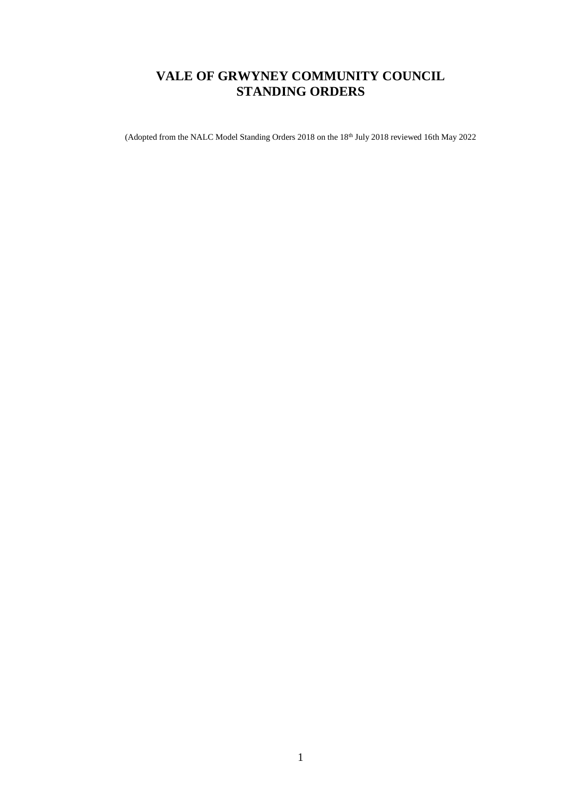# **VALE OF GRWYNEY COMMUNITY COUNCIL STANDING ORDERS**

(Adopted from the NALC Model Standing Orders 2018 on the 18<sup>th</sup> July 2018 reviewed 16th May 2022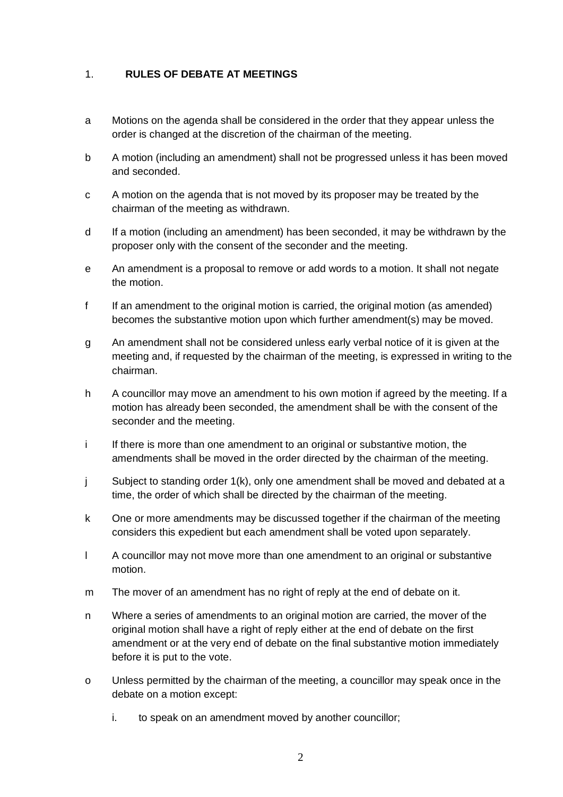# 1. **RULES OF DEBATE AT MEETINGS**

- a Motions on the agenda shall be considered in the order that they appear unless the order is changed at the discretion of the chairman of the meeting.
- b A motion (including an amendment) shall not be progressed unless it has been moved and seconded.
- c A motion on the agenda that is not moved by its proposer may be treated by the chairman of the meeting as withdrawn.
- d If a motion (including an amendment) has been seconded, it may be withdrawn by the proposer only with the consent of the seconder and the meeting.
- e An amendment is a proposal to remove or add words to a motion. It shall not negate the motion.
- f If an amendment to the original motion is carried, the original motion (as amended) becomes the substantive motion upon which further amendment(s) may be moved.
- g An amendment shall not be considered unless early verbal notice of it is given at the meeting and, if requested by the chairman of the meeting, is expressed in writing to the chairman.
- h A councillor may move an amendment to his own motion if agreed by the meeting. If a motion has already been seconded, the amendment shall be with the consent of the seconder and the meeting.
- i If there is more than one amendment to an original or substantive motion, the amendments shall be moved in the order directed by the chairman of the meeting.
- j Subject to standing order 1(k), only one amendment shall be moved and debated at a time, the order of which shall be directed by the chairman of the meeting.
- k One or more amendments may be discussed together if the chairman of the meeting considers this expedient but each amendment shall be voted upon separately.
- l A councillor may not move more than one amendment to an original or substantive motion.
- m The mover of an amendment has no right of reply at the end of debate on it.
- n Where a series of amendments to an original motion are carried, the mover of the original motion shall have a right of reply either at the end of debate on the first amendment or at the very end of debate on the final substantive motion immediately before it is put to the vote.
- o Unless permitted by the chairman of the meeting, a councillor may speak once in the debate on a motion except:
	- i. to speak on an amendment moved by another councillor;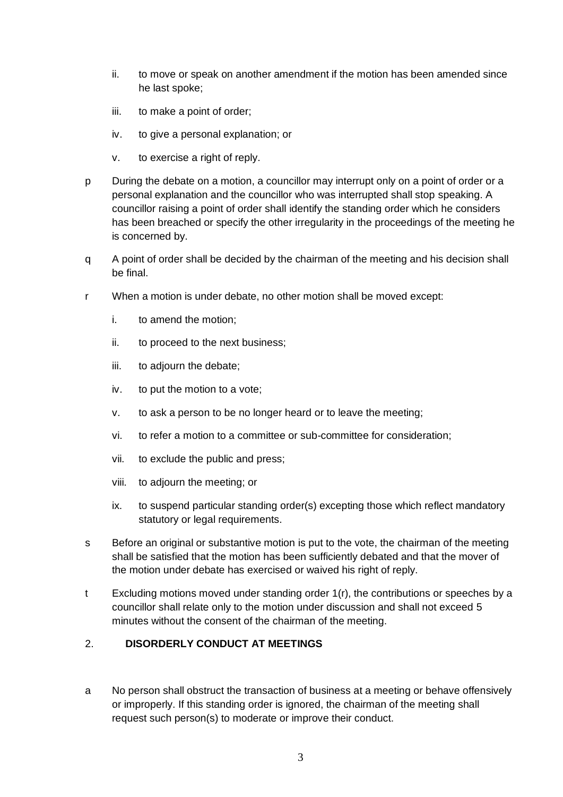- ii. to move or speak on another amendment if the motion has been amended since he last spoke;
- iii. to make a point of order;
- iv. to give a personal explanation; or
- v. to exercise a right of reply.
- p During the debate on a motion, a councillor may interrupt only on a point of order or a personal explanation and the councillor who was interrupted shall stop speaking. A councillor raising a point of order shall identify the standing order which he considers has been breached or specify the other irregularity in the proceedings of the meeting he is concerned by.
- q A point of order shall be decided by the chairman of the meeting and his decision shall be final.
- r When a motion is under debate, no other motion shall be moved except:
	- i. to amend the motion;
	- ii. to proceed to the next business;
	- iii. to adjourn the debate;
	- iv. to put the motion to a vote;
	- v. to ask a person to be no longer heard or to leave the meeting;
	- vi. to refer a motion to a committee or sub-committee for consideration;
	- vii. to exclude the public and press;
	- viii. to adjourn the meeting; or
	- ix. to suspend particular standing order(s) excepting those which reflect mandatory statutory or legal requirements.
- s Before an original or substantive motion is put to the vote, the chairman of the meeting shall be satisfied that the motion has been sufficiently debated and that the mover of the motion under debate has exercised or waived his right of reply.
- t Excluding motions moved under standing order 1(r), the contributions or speeches by a councillor shall relate only to the motion under discussion and shall not exceed 5 minutes without the consent of the chairman of the meeting.

# 2. **DISORDERLY CONDUCT AT MEETINGS**

a No person shall obstruct the transaction of business at a meeting or behave offensively or improperly. If this standing order is ignored, the chairman of the meeting shall request such person(s) to moderate or improve their conduct.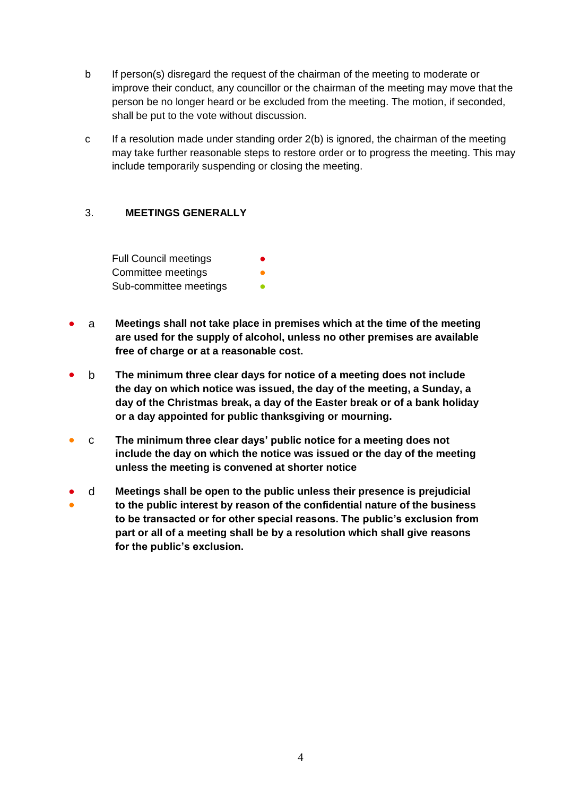- b If person(s) disregard the request of the chairman of the meeting to moderate or improve their conduct, any councillor or the chairman of the meeting may move that the person be no longer heard or be excluded from the meeting. The motion, if seconded, shall be put to the vote without discussion.
- c If a resolution made under standing order 2(b) is ignored, the chairman of the meeting may take further reasonable steps to restore order or to progress the meeting. This may include temporarily suspending or closing the meeting.

#### 3. **MEETINGS GENERALLY**

Full Council meetings Committee meetings Sub-committee meetings **•** 

- a **Meetings shall not take place in premises which at the time of the meeting are used for the supply of alcohol, unless no other premises are available free of charge or at a reasonable cost.**
- b **The minimum three clear days for notice of a meeting does not include the day on which notice was issued, the day of the meeting, a Sunday, a day of the Christmas break, a day of the Easter break or of a bank holiday or a day appointed for public thanksgiving or mourning.**
- c **The minimum three clear days' public notice for a meeting does not include the day on which the notice was issued or the day of the meeting unless the meeting is convened at shorter notice**
- ● d **Meetings shall be open to the public unless their presence is prejudicial to the public interest by reason of the confidential nature of the business to be transacted or for other special reasons. The public's exclusion from part or all of a meeting shall be by a resolution which shall give reasons for the public's exclusion.**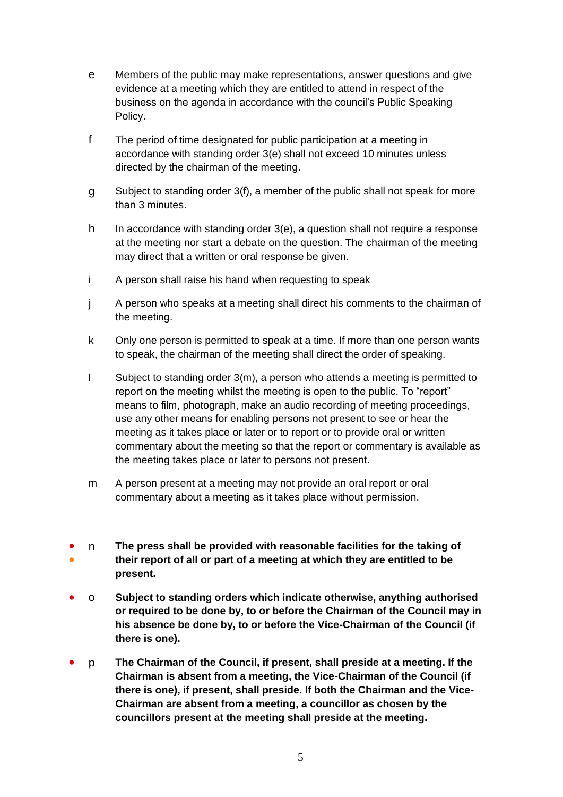- e Members of the public may make representations, answer questions and give evidence at a meeting which they are entitled to attend in respect of the business on the agenda in accordance with the council's Public Speaking Policy.
- f The period of time designated for public participation at a meeting in accordance with standing order 3(e) shall not exceed 10 minutes unless directed by the chairman of the meeting.
- g Subject to standing order 3(f), a member of the public shall not speak for more than 3 minutes.
- h In accordance with standing order 3(e), a question shall not require a response at the meeting nor start a debate on the question. The chairman of the meeting may direct that a written or oral response be given.
- i A person shall raise his hand when requesting to speak
- j A person who speaks at a meeting shall direct his comments to the chairman of the meeting.
- k Only one person is permitted to speak at a time. If more than one person wants to speak, the chairman of the meeting shall direct the order of speaking.
- l Subject to standing order 3(m), a person who attends a meeting is permitted to report on the meeting whilst the meeting is open to the public. To "report" means to film, photograph, make an audio recording of meeting proceedings, use any other means for enabling persons not present to see or hear the meeting as it takes place or later or to report or to provide oral or written commentary about the meeting so that the report or commentary is available as the meeting takes place or later to persons not present.
- m A person present at a meeting may not provide an oral report or oral commentary about a meeting as it takes place without permission.
- ● n **The press shall be provided with reasonable facilities for the taking of their report of all or part of a meeting at which they are entitled to be present.**
- o **Subject to standing orders which indicate otherwise, anything authorised or required to be done by, to or before the Chairman of the Council may in his absence be done by, to or before the Vice-Chairman of the Council (if there is one).**
- p **The Chairman of the Council, if present, shall preside at a meeting. If the Chairman is absent from a meeting, the Vice-Chairman of the Council (if there is one), if present, shall preside. If both the Chairman and the Vice-Chairman are absent from a meeting, a councillor as chosen by the councillors present at the meeting shall preside at the meeting.**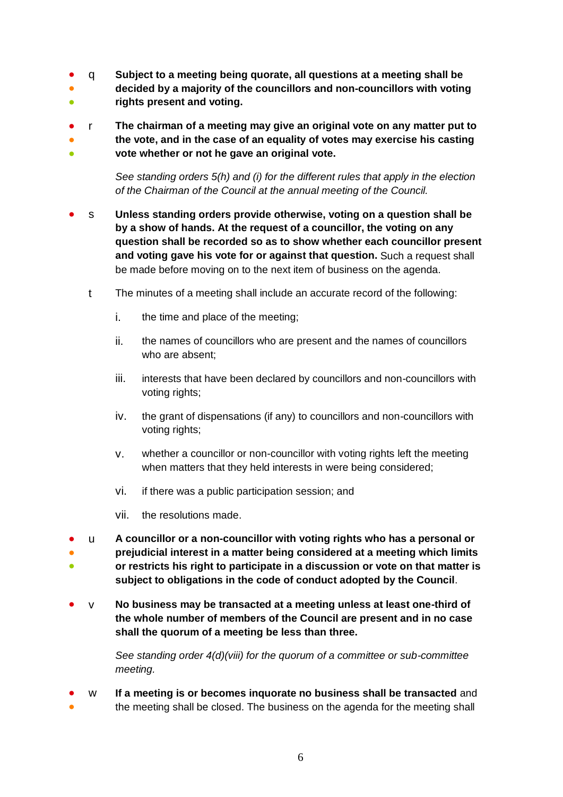- q **Subject to a meeting being quorate, all questions at a meeting shall be**
- **decided by a majority of the councillors and non-councillors with voting**
- **rights present and voting.**
- ● ● r **The chairman of a meeting may give an original vote on any matter put to the vote, and in the case of an equality of votes may exercise his casting vote whether or not he gave an original vote.**

*See standing orders 5(h) and (i) for the different rules that apply in the election of the Chairman of the Council at the annual meeting of the Council.*

- s **Unless standing orders provide otherwise, voting on a question shall be by a show of hands. At the request of a councillor, the voting on any question shall be recorded so as to show whether each councillor present and voting gave his vote for or against that question.** Such a request shall be made before moving on to the next item of business on the agenda.
	- t The minutes of a meeting shall include an accurate record of the following:
		- i. the time and place of the meeting;
		- ii. the names of councillors who are present and the names of councillors who are absent;
		- iii. interests that have been declared by councillors and non-councillors with voting rights;
		- iv. the grant of dispensations (if any) to councillors and non-councillors with voting rights;
		- v. whether a councillor or non-councillor with voting rights left the meeting when matters that they held interests in were being considered;
		- vi. if there was a public participation session; and
		- vii. the resolutions made.
- ● ● u **A councillor or a non-councillor with voting rights who has a personal or prejudicial interest in a matter being considered at a meeting which limits or restricts his right to participate in a discussion or vote on that matter is subject to obligations in the code of conduct adopted by the Council**.
- v **No business may be transacted at a meeting unless at least one-third of the whole number of members of the Council are present and in no case shall the quorum of a meeting be less than three.**

*See standing order 4(d)(viii) for the quorum of a committee or sub-committee meeting.* 

● ● w **If a meeting is or becomes inquorate no business shall be transacted** and the meeting shall be closed. The business on the agenda for the meeting shall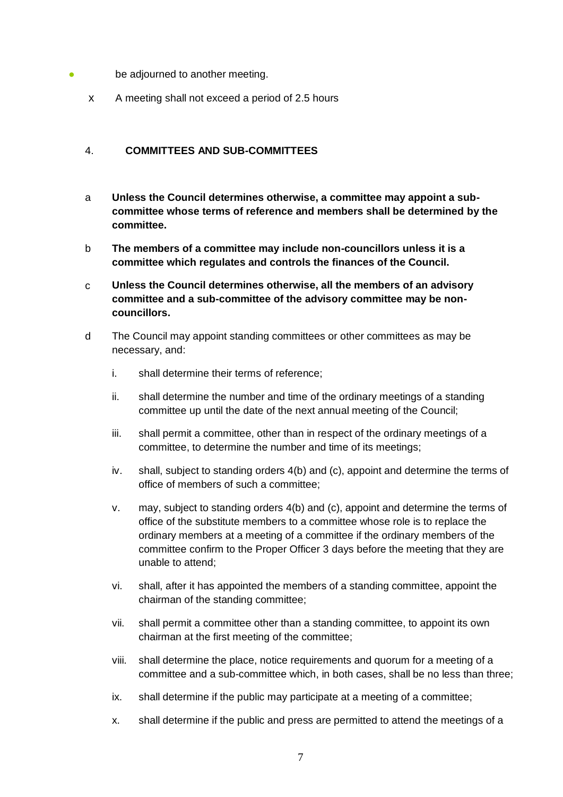- be adjourned to another meeting.
	- x A meeting shall not exceed a period of 2.5 hours

#### 4. **COMMITTEES AND SUB-COMMITTEES**

- a **Unless the Council determines otherwise, a committee may appoint a subcommittee whose terms of reference and members shall be determined by the committee.**
- b **The members of a committee may include non-councillors unless it is a committee which regulates and controls the finances of the Council.**
- c **Unless the Council determines otherwise, all the members of an advisory committee and a sub-committee of the advisory committee may be noncouncillors.**
- d The Council may appoint standing committees or other committees as may be necessary, and:
	- i. shall determine their terms of reference;
	- ii. shall determine the number and time of the ordinary meetings of a standing committee up until the date of the next annual meeting of the Council;
	- iii. shall permit a committee, other than in respect of the ordinary meetings of a committee, to determine the number and time of its meetings;
	- iv. shall, subject to standing orders 4(b) and (c), appoint and determine the terms of office of members of such a committee;
	- v. may, subject to standing orders 4(b) and (c), appoint and determine the terms of office of the substitute members to a committee whose role is to replace the ordinary members at a meeting of a committee if the ordinary members of the committee confirm to the Proper Officer 3 days before the meeting that they are unable to attend;
	- vi. shall, after it has appointed the members of a standing committee, appoint the chairman of the standing committee;
	- vii. shall permit a committee other than a standing committee, to appoint its own chairman at the first meeting of the committee;
	- viii. shall determine the place, notice requirements and quorum for a meeting of a committee and a sub-committee which, in both cases, shall be no less than three;
	- ix. shall determine if the public may participate at a meeting of a committee;
	- x. shall determine if the public and press are permitted to attend the meetings of a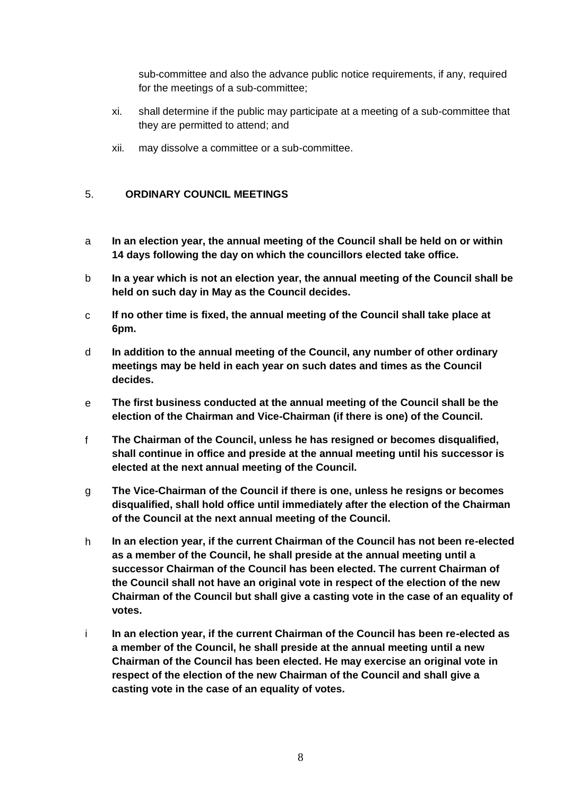sub-committee and also the advance public notice requirements, if any, required for the meetings of a sub-committee;

- xi. shall determine if the public may participate at a meeting of a sub-committee that they are permitted to attend; and
- xii. may dissolve a committee or a sub-committee.

# 5. **ORDINARY COUNCIL MEETINGS**

- a **In an election year, the annual meeting of the Council shall be held on or within 14 days following the day on which the councillors elected take office.**
- b **In a year which is not an election year, the annual meeting of the Council shall be held on such day in May as the Council decides.**
- c **If no other time is fixed, the annual meeting of the Council shall take place at 6pm.**
- d **In addition to the annual meeting of the Council, any number of other ordinary meetings may be held in each year on such dates and times as the Council decides.**
- e **The first business conducted at the annual meeting of the Council shall be the election of the Chairman and Vice-Chairman (if there is one) of the Council.**
- f **The Chairman of the Council, unless he has resigned or becomes disqualified, shall continue in office and preside at the annual meeting until his successor is elected at the next annual meeting of the Council.**
- g **The Vice-Chairman of the Council if there is one, unless he resigns or becomes disqualified, shall hold office until immediately after the election of the Chairman of the Council at the next annual meeting of the Council.**
- h **In an election year, if the current Chairman of the Council has not been re-elected as a member of the Council, he shall preside at the annual meeting until a successor Chairman of the Council has been elected. The current Chairman of the Council shall not have an original vote in respect of the election of the new Chairman of the Council but shall give a casting vote in the case of an equality of votes.**
- i **In an election year, if the current Chairman of the Council has been re-elected as a member of the Council, he shall preside at the annual meeting until a new Chairman of the Council has been elected. He may exercise an original vote in respect of the election of the new Chairman of the Council and shall give a casting vote in the case of an equality of votes.**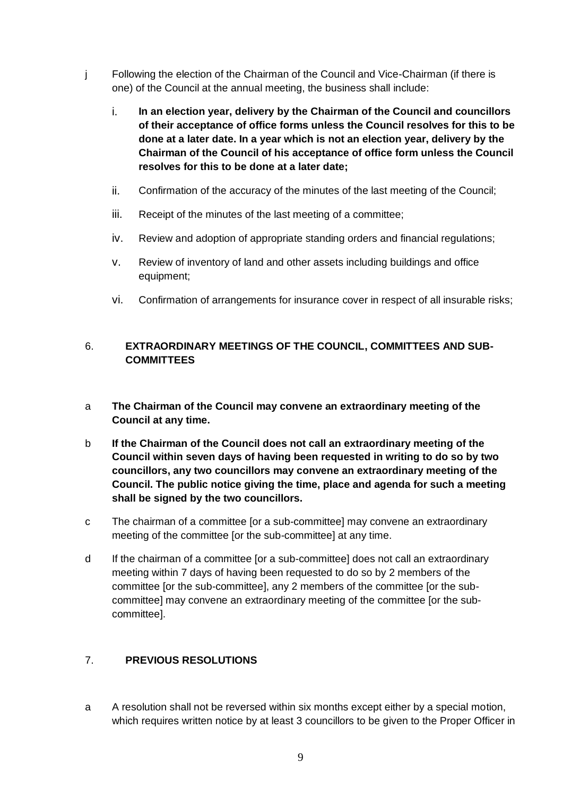- j Following the election of the Chairman of the Council and Vice-Chairman (if there is one) of the Council at the annual meeting, the business shall include:
	- i. **In an election year, delivery by the Chairman of the Council and councillors of their acceptance of office forms unless the Council resolves for this to be done at a later date. In a year which is not an election year, delivery by the Chairman of the Council of his acceptance of office form unless the Council resolves for this to be done at a later date;**
	- ii. Confirmation of the accuracy of the minutes of the last meeting of the Council;
	- iii. Receipt of the minutes of the last meeting of a committee;
	- iv. Review and adoption of appropriate standing orders and financial regulations;
	- v. Review of inventory of land and other assets including buildings and office equipment;
	- vi. Confirmation of arrangements for insurance cover in respect of all insurable risks;

### 6. **EXTRAORDINARY MEETINGS OF THE COUNCIL, COMMITTEES AND SUB-COMMITTEES**

- a **The Chairman of the Council may convene an extraordinary meeting of the Council at any time.**
- b **If the Chairman of the Council does not call an extraordinary meeting of the Council within seven days of having been requested in writing to do so by two councillors, any two councillors may convene an extraordinary meeting of the Council. The public notice giving the time, place and agenda for such a meeting shall be signed by the two councillors.**
- c The chairman of a committee [or a sub-committee] may convene an extraordinary meeting of the committee [or the sub-committee] at any time.
- d If the chairman of a committee [or a sub-committee] does not call an extraordinary meeting within 7 days of having been requested to do so by 2 members of the committee [or the sub-committee], any 2 members of the committee [or the subcommittee] may convene an extraordinary meeting of the committee [or the subcommittee].

#### 7. **PREVIOUS RESOLUTIONS**

a A resolution shall not be reversed within six months except either by a special motion, which requires written notice by at least 3 councillors to be given to the Proper Officer in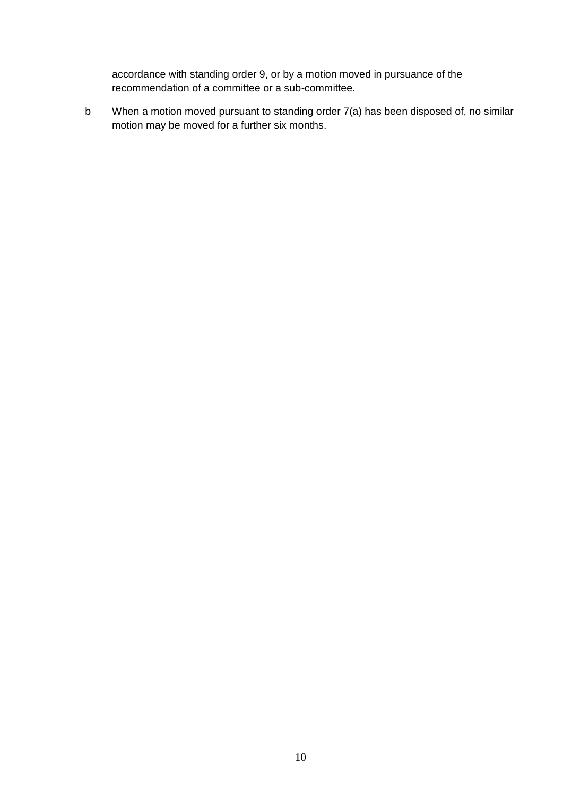accordance with standing order 9, or by a motion moved in pursuance of the recommendation of a committee or a sub-committee.

b When a motion moved pursuant to standing order 7(a) has been disposed of, no similar motion may be moved for a further six months.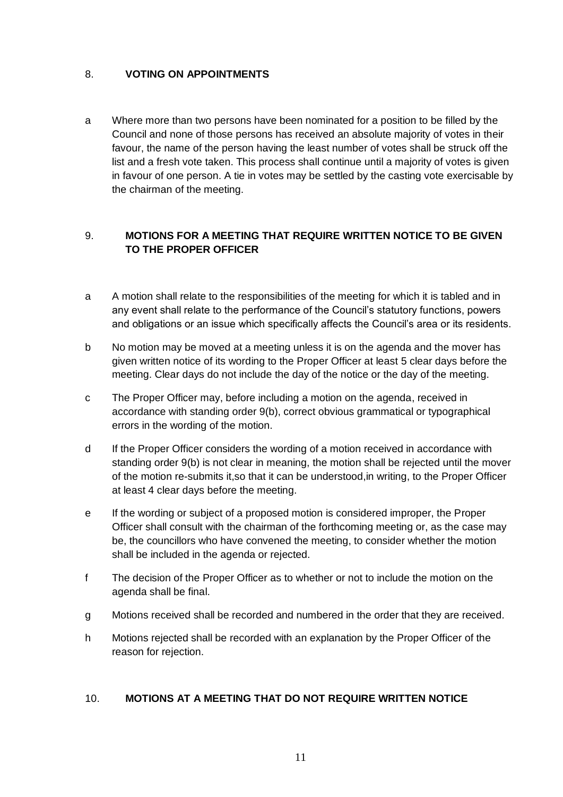# 8. **VOTING ON APPOINTMENTS**

a Where more than two persons have been nominated for a position to be filled by the Council and none of those persons has received an absolute majority of votes in their favour, the name of the person having the least number of votes shall be struck off the list and a fresh vote taken. This process shall continue until a majority of votes is given in favour of one person. A tie in votes may be settled by the casting vote exercisable by the chairman of the meeting.

# 9. **MOTIONS FOR A MEETING THAT REQUIRE WRITTEN NOTICE TO BE GIVEN TO THE PROPER OFFICER**

- a A motion shall relate to the responsibilities of the meeting for which it is tabled and in any event shall relate to the performance of the Council's statutory functions, powers and obligations or an issue which specifically affects the Council's area or its residents.
- b No motion may be moved at a meeting unless it is on the agenda and the mover has given written notice of its wording to the Proper Officer at least 5 clear days before the meeting. Clear days do not include the day of the notice or the day of the meeting.
- c The Proper Officer may, before including a motion on the agenda, received in accordance with standing order 9(b), correct obvious grammatical or typographical errors in the wording of the motion.
- d If the Proper Officer considers the wording of a motion received in accordance with standing order 9(b) is not clear in meaning, the motion shall be rejected until the mover of the motion re-submits it,so that it can be understood,in writing, to the Proper Officer at least 4 clear days before the meeting.
- e If the wording or subject of a proposed motion is considered improper, the Proper Officer shall consult with the chairman of the forthcoming meeting or, as the case may be, the councillors who have convened the meeting, to consider whether the motion shall be included in the agenda or rejected.
- f The decision of the Proper Officer as to whether or not to include the motion on the agenda shall be final.
- g Motions received shall be recorded and numbered in the order that they are received.
- h Motions rejected shall be recorded with an explanation by the Proper Officer of the reason for rejection.

# 10. **MOTIONS AT A MEETING THAT DO NOT REQUIRE WRITTEN NOTICE**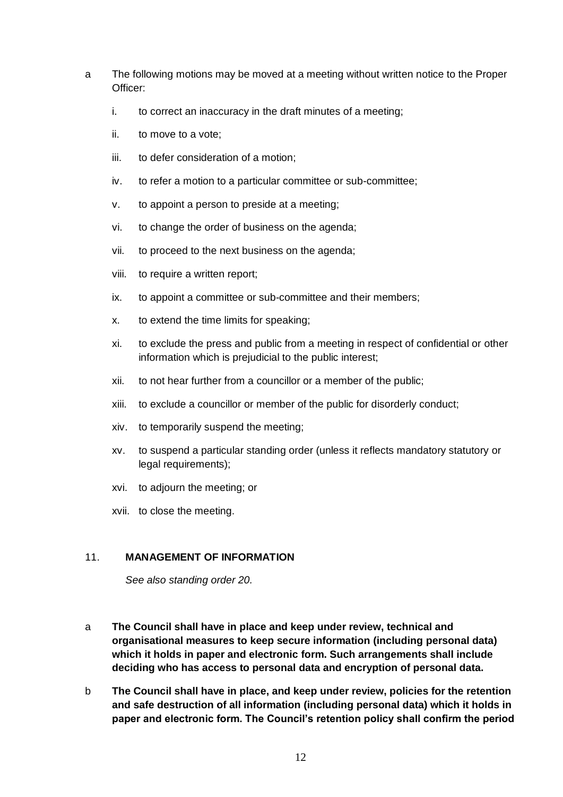- a The following motions may be moved at a meeting without written notice to the Proper Officer:
	- i. to correct an inaccuracy in the draft minutes of a meeting;
	- ii. to move to a vote;
	- iii. to defer consideration of a motion;
	- iv. to refer a motion to a particular committee or sub-committee;
	- v. to appoint a person to preside at a meeting;
	- vi. to change the order of business on the agenda;
	- vii. to proceed to the next business on the agenda;
	- viii. to require a written report;
	- ix. to appoint a committee or sub-committee and their members;
	- x. to extend the time limits for speaking;
	- xi. to exclude the press and public from a meeting in respect of confidential or other information which is prejudicial to the public interest;
	- xii. to not hear further from a councillor or a member of the public;
	- xiii. to exclude a councillor or member of the public for disorderly conduct;
	- xiv. to temporarily suspend the meeting;
	- xv. to suspend a particular standing order (unless it reflects mandatory statutory or legal requirements);
	- xvi. to adjourn the meeting; or
	- xvii. to close the meeting.

#### 11. **MANAGEMENT OF INFORMATION**

*See also standing order 20.*

- a **The Council shall have in place and keep under review, technical and organisational measures to keep secure information (including personal data) which it holds in paper and electronic form. Such arrangements shall include deciding who has access to personal data and encryption of personal data.**
- b **The Council shall have in place, and keep under review, policies for the retention and safe destruction of all information (including personal data) which it holds in paper and electronic form. The Council's retention policy shall confirm the period**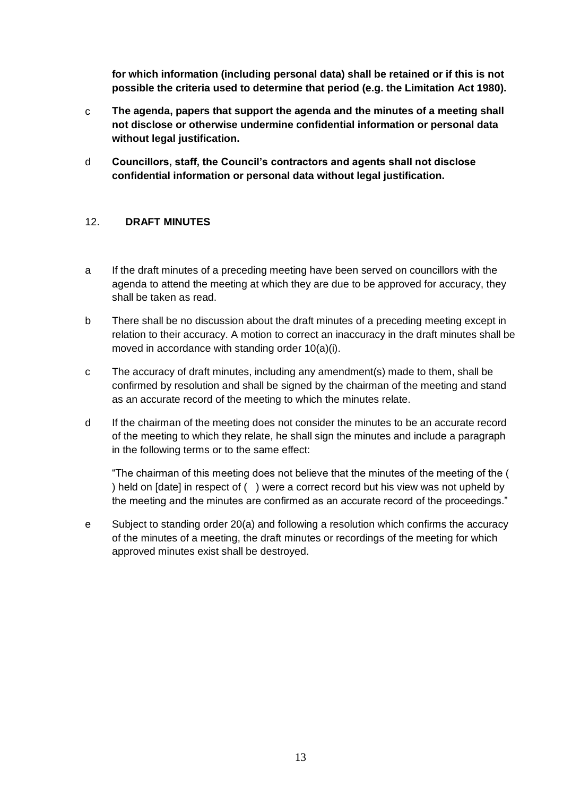**for which information (including personal data) shall be retained or if this is not possible the criteria used to determine that period (e.g. the Limitation Act 1980).**

- c **The agenda, papers that support the agenda and the minutes of a meeting shall not disclose or otherwise undermine confidential information or personal data without legal justification.**
- d **Councillors, staff, the Council's contractors and agents shall not disclose confidential information or personal data without legal justification.**

#### 12. **DRAFT MINUTES**

- a If the draft minutes of a preceding meeting have been served on councillors with the agenda to attend the meeting at which they are due to be approved for accuracy, they shall be taken as read.
- b There shall be no discussion about the draft minutes of a preceding meeting except in relation to their accuracy. A motion to correct an inaccuracy in the draft minutes shall be moved in accordance with standing order 10(a)(i).
- c The accuracy of draft minutes, including any amendment(s) made to them, shall be confirmed by resolution and shall be signed by the chairman of the meeting and stand as an accurate record of the meeting to which the minutes relate.
- d If the chairman of the meeting does not consider the minutes to be an accurate record of the meeting to which they relate, he shall sign the minutes and include a paragraph in the following terms or to the same effect:

"The chairman of this meeting does not believe that the minutes of the meeting of the ( ) held on [date] in respect of ( ) were a correct record but his view was not upheld by the meeting and the minutes are confirmed as an accurate record of the proceedings."

e Subject to standing order 20(a) and following a resolution which confirms the accuracy of the minutes of a meeting, the draft minutes or recordings of the meeting for which approved minutes exist shall be destroyed.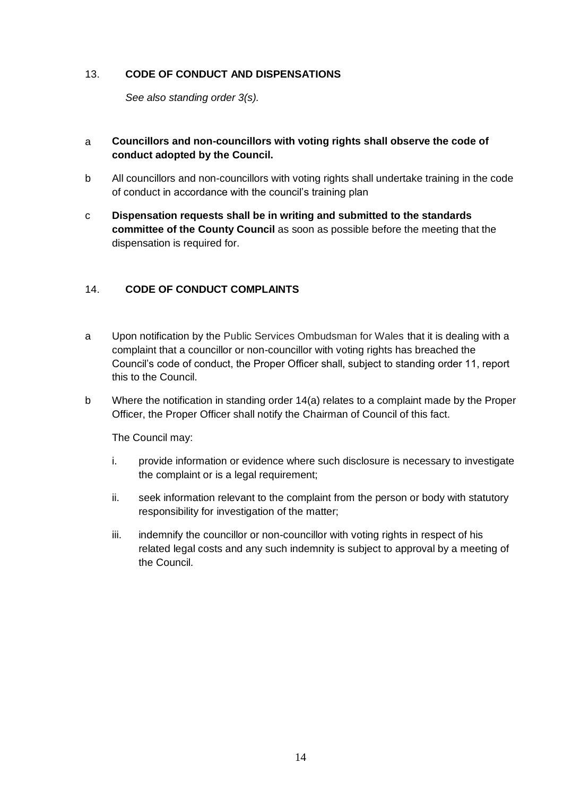### 13. **CODE OF CONDUCT AND DISPENSATIONS**

*See also standing order 3(s).*

# a **Councillors and non-councillors with voting rights shall observe the code of conduct adopted by the Council.**

- b All councillors and non-councillors with voting rights shall undertake training in the code of conduct in accordance with the council's training plan
- c **Dispensation requests shall be in writing and submitted to the standards committee of the County Council** as soon as possible before the meeting that the dispensation is required for.

# 14. **CODE OF CONDUCT COMPLAINTS**

- a Upon notification by the Public Services Ombudsman for Wales that it is dealing with a complaint that a councillor or non-councillor with voting rights has breached the Council's code of conduct, the Proper Officer shall, subject to standing order 11, report this to the Council.
- b Where the notification in standing order 14(a) relates to a complaint made by the Proper Officer, the Proper Officer shall notify the Chairman of Council of this fact.

The Council may:

- i. provide information or evidence where such disclosure is necessary to investigate the complaint or is a legal requirement;
- ii. seek information relevant to the complaint from the person or body with statutory responsibility for investigation of the matter;
- iii. indemnify the councillor or non-councillor with voting rights in respect of his related legal costs and any such indemnity is subject to approval by a meeting of the Council.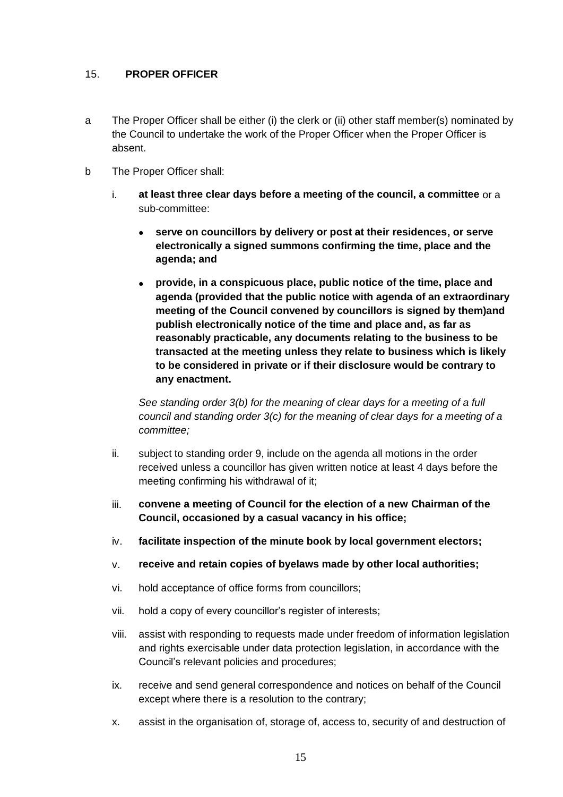### 15. **PROPER OFFICER**

- a The Proper Officer shall be either (i) the clerk or (ii) other staff member(s) nominated by the Council to undertake the work of the Proper Officer when the Proper Officer is absent.
- b The Proper Officer shall:
	- i. **at least three clear days before a meeting of the council, a committee** or a sub-committee:
		- **serve on councillors by delivery or post at their residences, or serve electronically a signed summons confirming the time, place and the agenda; and**
		- **provide, in a conspicuous place, public notice of the time, place and agenda (provided that the public notice with agenda of an extraordinary meeting of the Council convened by councillors is signed by them)and publish electronically notice of the time and place and, as far as reasonably practicable, any documents relating to the business to be transacted at the meeting unless they relate to business which is likely to be considered in private or if their disclosure would be contrary to any enactment.**

*See standing order 3(b) for the meaning of clear days for a meeting of a full council and standing order 3(c) for the meaning of clear days for a meeting of a committee;*

- ii. subject to standing order 9, include on the agenda all motions in the order received unless a councillor has given written notice at least 4 days before the meeting confirming his withdrawal of it;
- iii. **convene a meeting of Council for the election of a new Chairman of the Council, occasioned by a casual vacancy in his office;**
- iv. **facilitate inspection of the minute book by local government electors;**
- v. **receive and retain copies of byelaws made by other local authorities;**
- vi. hold acceptance of office forms from councillors;
- vii. hold a copy of every councillor's register of interests;
- viii. assist with responding to requests made under freedom of information legislation and rights exercisable under data protection legislation, in accordance with the Council's relevant policies and procedures;
- ix. receive and send general correspondence and notices on behalf of the Council except where there is a resolution to the contrary;
- x. assist in the organisation of, storage of, access to, security of and destruction of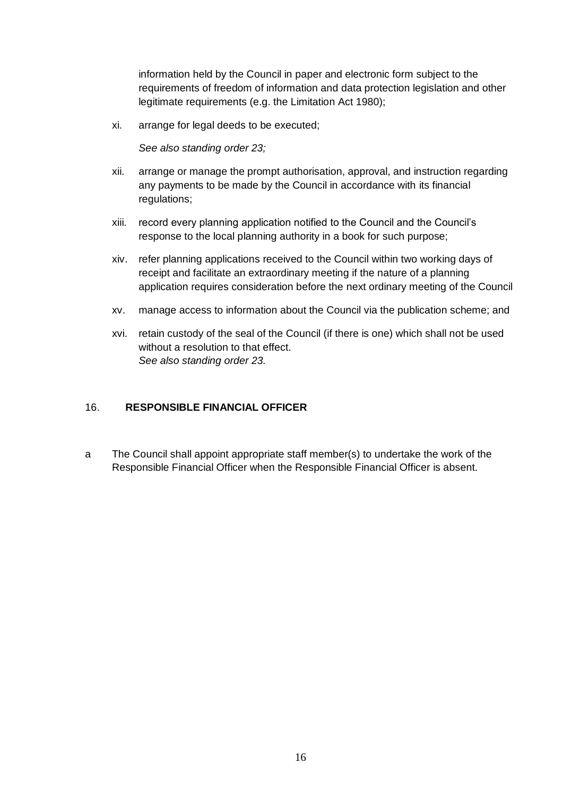information held by the Council in paper and electronic form subject to the requirements of freedom of information and data protection legislation and other legitimate requirements (e.g. the Limitation Act 1980);

xi. arrange for legal deeds to be executed;

*See also standing order 23;*

- xii. arrange or manage the prompt authorisation, approval, and instruction regarding any payments to be made by the Council in accordance with its financial regulations;
- xiii. record every planning application notified to the Council and the Council's response to the local planning authority in a book for such purpose;
- xiv. refer planning applications received to the Council within two working days of receipt and facilitate an extraordinary meeting if the nature of a planning application requires consideration before the next ordinary meeting of the Council
- xv. manage access to information about the Council via the publication scheme; and
- xvi. retain custody of the seal of the Council (if there is one) which shall not be used without a resolution to that effect. *See also standing order 23.*

#### 16. **RESPONSIBLE FINANCIAL OFFICER**

a The Council shall appoint appropriate staff member(s) to undertake the work of the Responsible Financial Officer when the Responsible Financial Officer is absent.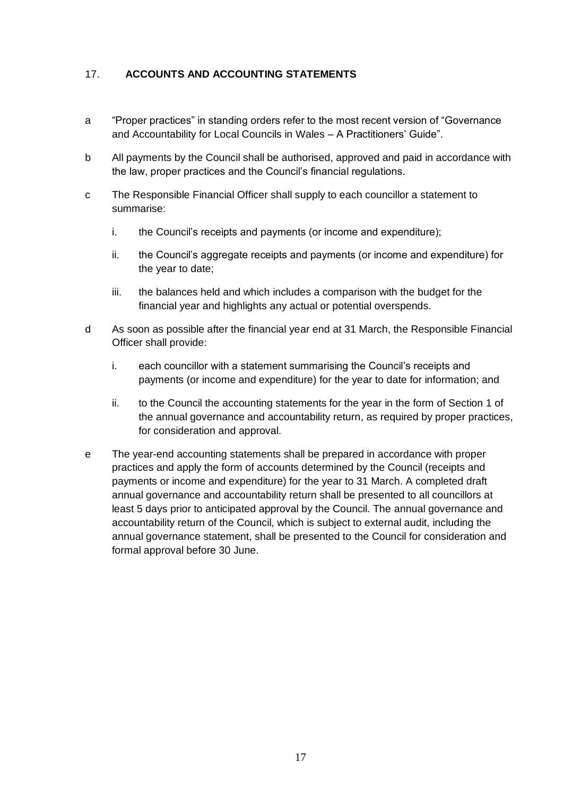# 17. **ACCOUNTS AND ACCOUNTING STATEMENTS**

- a "Proper practices" in standing orders refer to the most recent version of "Governance and Accountability for Local Councils in Wales – A Practitioners' Guide".
- b All payments by the Council shall be authorised, approved and paid in accordance with the law, proper practices and the Council's financial regulations.
- c The Responsible Financial Officer shall supply to each councillor a statement to summarise:
	- i. the Council's receipts and payments (or income and expenditure);
	- ii. the Council's aggregate receipts and payments (or income and expenditure) for the year to date;
	- iii. the balances held and which includes a comparison with the budget for the financial year and highlights any actual or potential overspends.
- d As soon as possible after the financial year end at 31 March, the Responsible Financial Officer shall provide:
	- i. each councillor with a statement summarising the Council's receipts and payments (or income and expenditure) for the year to date for information; and
	- ii. to the Council the accounting statements for the year in the form of Section 1 of the annual governance and accountability return, as required by proper practices, for consideration and approval.
- e The year-end accounting statements shall be prepared in accordance with proper practices and apply the form of accounts determined by the Council (receipts and payments or income and expenditure) for the year to 31 March. A completed draft annual governance and accountability return shall be presented to all councillors at least 5 days prior to anticipated approval by the Council. The annual governance and accountability return of the Council, which is subject to external audit, including the annual governance statement, shall be presented to the Council for consideration and formal approval before 30 June.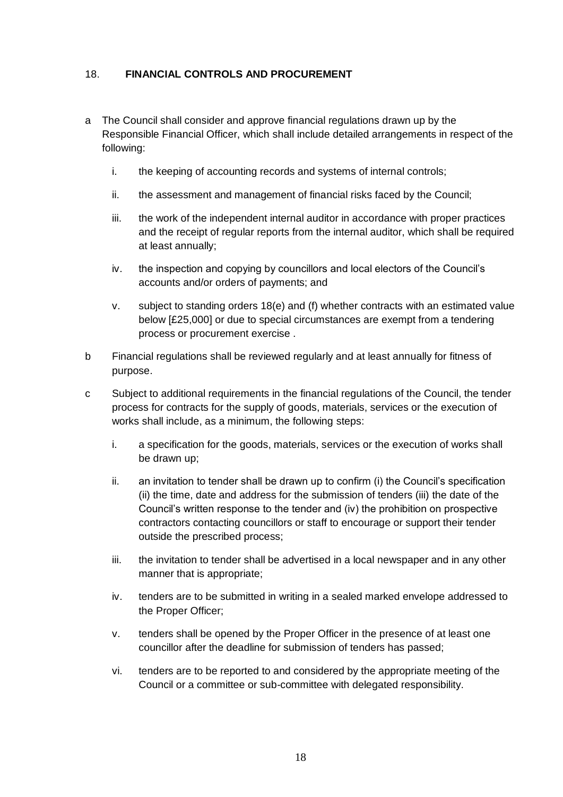# 18. **FINANCIAL CONTROLS AND PROCUREMENT**

- a The Council shall consider and approve financial regulations drawn up by the Responsible Financial Officer, which shall include detailed arrangements in respect of the following:
	- i. the keeping of accounting records and systems of internal controls;
	- ii. the assessment and management of financial risks faced by the Council;
	- iii. the work of the independent internal auditor in accordance with proper practices and the receipt of regular reports from the internal auditor, which shall be required at least annually;
	- iv. the inspection and copying by councillors and local electors of the Council's accounts and/or orders of payments; and
	- v. subject to standing orders 18(e) and (f) whether contracts with an estimated value below [£25,000] or due to special circumstances are exempt from a tendering process or procurement exercise .
- b Financial regulations shall be reviewed regularly and at least annually for fitness of purpose.
- c Subject to additional requirements in the financial regulations of the Council, the tender process for contracts for the supply of goods, materials, services or the execution of works shall include, as a minimum, the following steps:
	- i. a specification for the goods, materials, services or the execution of works shall be drawn up;
	- ii. an invitation to tender shall be drawn up to confirm (i) the Council's specification (ii) the time, date and address for the submission of tenders (iii) the date of the Council's written response to the tender and (iv) the prohibition on prospective contractors contacting councillors or staff to encourage or support their tender outside the prescribed process;
	- iii. the invitation to tender shall be advertised in a local newspaper and in any other manner that is appropriate;
	- iv. tenders are to be submitted in writing in a sealed marked envelope addressed to the Proper Officer;
	- v. tenders shall be opened by the Proper Officer in the presence of at least one councillor after the deadline for submission of tenders has passed;
	- vi. tenders are to be reported to and considered by the appropriate meeting of the Council or a committee or sub-committee with delegated responsibility.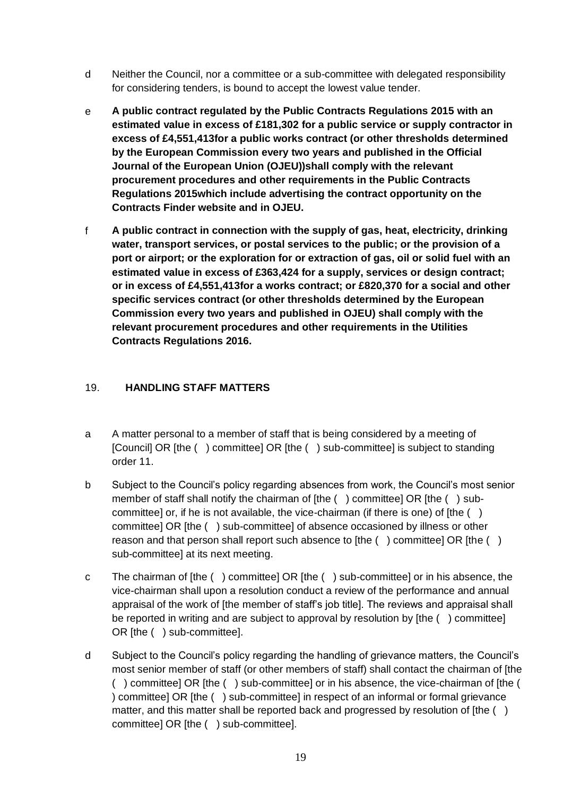- d Neither the Council, nor a committee or a sub-committee with delegated responsibility for considering tenders, is bound to accept the lowest value tender.
- e **A public contract regulated by the Public Contracts Regulations 2015 with an estimated value in excess of £181,302 for a public service or supply contractor in excess of £4,551,413for a public works contract (or other thresholds determined by the European Commission every two years and published in the Official Journal of the European Union (OJEU))shall comply with the relevant procurement procedures and other requirements in the Public Contracts Regulations 2015which include advertising the contract opportunity on the Contracts Finder website and in OJEU.**
- f **A public contract in connection with the supply of gas, heat, electricity, drinking water, transport services, or postal services to the public; or the provision of a port or airport; or the exploration for or extraction of gas, oil or solid fuel with an estimated value in excess of £363,424 for a supply, services or design contract; or in excess of £4,551,413for a works contract; or £820,370 for a social and other specific services contract (or other thresholds determined by the European Commission every two years and published in OJEU) shall comply with the relevant procurement procedures and other requirements in the Utilities Contracts Regulations 2016.**

# 19. **HANDLING STAFF MATTERS**

- a A matter personal to a member of staff that is being considered by a meeting of [Council] OR [the ( ) committee] OR [the ( ) sub-committee] is subject to standing order 11.
- b Subject to the Council's policy regarding absences from work, the Council's most senior member of staff shall notify the chairman of [the () committee] OR [the () subcommittee] or, if he is not available, the vice-chairman (if there is one) of [the () committee] OR [the ( ) sub-committee] of absence occasioned by illness or other reason and that person shall report such absence to [the ( ) committee] OR [the ( ) sub-committee] at its next meeting.
- c The chairman of [the ( ) committee] OR [the ( ) sub-committee] or in his absence, the vice-chairman shall upon a resolution conduct a review of the performance and annual appraisal of the work of [the member of staff's job title]. The reviews and appraisal shall be reported in writing and are subject to approval by resolution by [the ( ) committee] OR [the ( ) sub-committee].
- d Subject to the Council's policy regarding the handling of grievance matters, the Council's most senior member of staff (or other members of staff) shall contact the chairman of [the ( ) committee] OR [the ( ) sub-committee] or in his absence, the vice-chairman of [the ( ) committee] OR [the ( ) sub-committee] in respect of an informal or formal grievance matter, and this matter shall be reported back and progressed by resolution of [the () committee] OR [the ( ) sub-committee].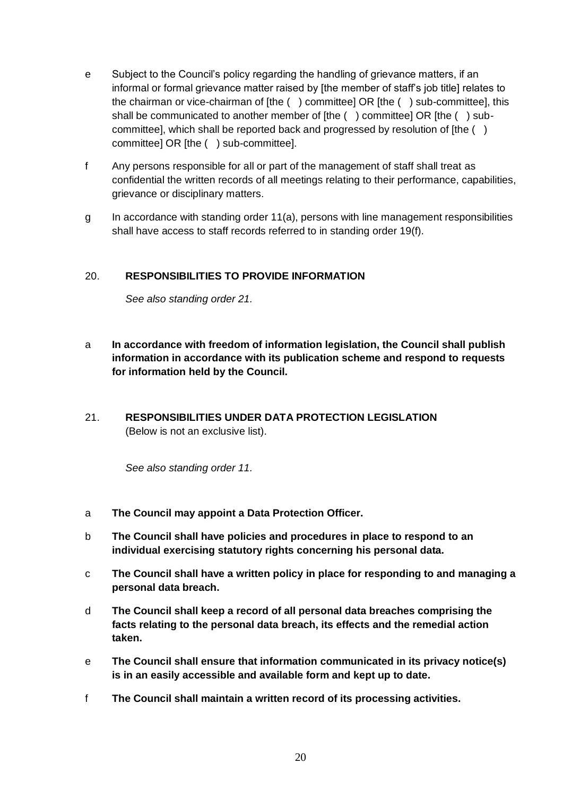- e Subject to the Council's policy regarding the handling of grievance matters, if an informal or formal grievance matter raised by [the member of staff's job title] relates to the chairman or vice-chairman of [the ( ) committee] OR [the ( ) sub-committee], this shall be communicated to another member of [the () committee] OR [the () subcommittee], which shall be reported back and progressed by resolution of [the () committee] OR [the ( ) sub-committee].
- f Any persons responsible for all or part of the management of staff shall treat as confidential the written records of all meetings relating to their performance, capabilities, grievance or disciplinary matters.
- g In accordance with standing order 11(a), persons with line management responsibilities shall have access to staff records referred to in standing order 19(f).

# 20. **RESPONSIBILITIES TO PROVIDE INFORMATION**

*See also standing order 21.*

- a **In accordance with freedom of information legislation, the Council shall publish information in accordance with its publication scheme and respond to requests for information held by the Council.**
- 21. **RESPONSIBILITIES UNDER DATA PROTECTION LEGISLATION** (Below is not an exclusive list).

*See also standing order 11.*

- a **The Council may appoint a Data Protection Officer.**
- b **The Council shall have policies and procedures in place to respond to an individual exercising statutory rights concerning his personal data.**
- c **The Council shall have a written policy in place for responding to and managing a personal data breach.**
- d **The Council shall keep a record of all personal data breaches comprising the facts relating to the personal data breach, its effects and the remedial action taken.**
- e **The Council shall ensure that information communicated in its privacy notice(s) is in an easily accessible and available form and kept up to date.**
- f **The Council shall maintain a written record of its processing activities.**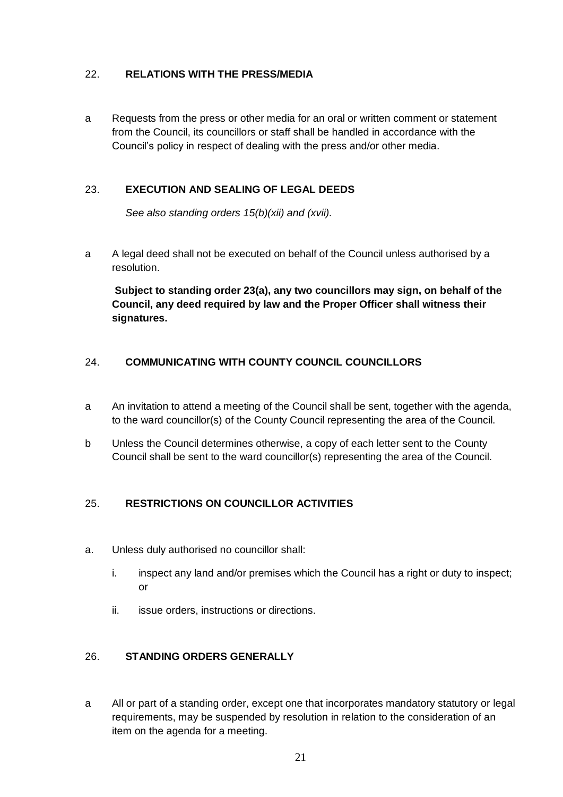# 22. **RELATIONS WITH THE PRESS/MEDIA**

a Requests from the press or other media for an oral or written comment or statement from the Council, its councillors or staff shall be handled in accordance with the Council's policy in respect of dealing with the press and/or other media.

# 23. **EXECUTION AND SEALING OF LEGAL DEEDS**

*See also standing orders 15(b)(xii) and (xvii).*

a A legal deed shall not be executed on behalf of the Council unless authorised by a resolution.

**Subject to standing order 23(a), any two councillors may sign, on behalf of the Council, any deed required by law and the Proper Officer shall witness their signatures.**

# 24. **COMMUNICATING WITH COUNTY COUNCIL COUNCILLORS**

- a An invitation to attend a meeting of the Council shall be sent, together with the agenda, to the ward councillor(s) of the County Council representing the area of the Council.
- b Unless the Council determines otherwise, a copy of each letter sent to the County Council shall be sent to the ward councillor(s) representing the area of the Council.

# 25. **RESTRICTIONS ON COUNCILLOR ACTIVITIES**

- a. Unless duly authorised no councillor shall:
	- i. inspect any land and/or premises which the Council has a right or duty to inspect; or
	- ii. issue orders, instructions or directions.

# 26. **STANDING ORDERS GENERALLY**

a All or part of a standing order, except one that incorporates mandatory statutory or legal requirements, may be suspended by resolution in relation to the consideration of an item on the agenda for a meeting.